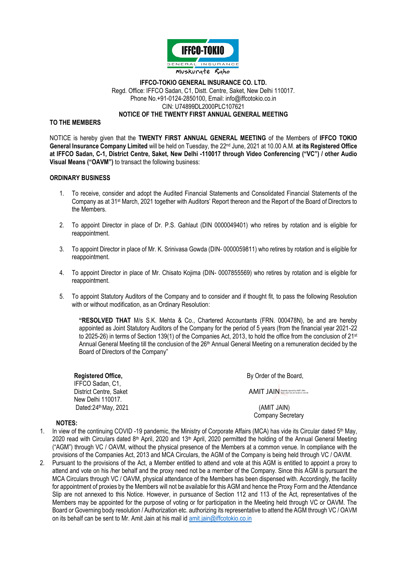

## **IFFCO-TOKIO GENERAL INSURANCE CO. LTD.** Regd. Office: IFFCO Sadan, C1, Distt. Centre, Saket, New Delhi 110017. Phone No.+91-0124-2850100, Email: info@iffcotokio.co.in CIN: U74899DL2000PLC107621 **NOTICE OF THE TWENTY FIRST ANNUAL GENERAL MEETING**

## **TO THE MEMBERS**

NOTICE is hereby given that the **TWENTY FIRST ANNUAL GENERAL MEETING** of the Members of **IFFCO TOKIO General Insurance Company Limited** will be held on Tuesday, the 22nd June, 2021 at 10.00 A.M. **at its Registered Office at IFFCO Sadan, C-1, District Centre, Saket, New Delhi -110017 through Video Conferencing ("VC") / other Audio Visual Means ("OAVM")** to transact the following business:

## **ORDINARY BUSINESS**

- 1. To receive, consider and adopt the Audited Financial Statements and Consolidated Financial Statements of the Company as at 31<sup>st</sup> March, 2021 together with Auditors' Report thereon and the Report of the Board of Directors to the Members.
- 2. To appoint Director in place of Dr. P.S. Gahlaut (DIN 0000049401) who retires by rotation and is eligible for reappointment.
- 3. To appoint Director in place of Mr. K. Srinivasa Gowda (DIN- 0000059811) who retires by rotation and is eligible for reappointment.
- 4. To appoint Director in place of Mr. Chisato Kojima (DIN- 0007855569) who retires by rotation and is eligible for reappointment.
- 5. To appoint Statutory Auditors of the Company and to consider and if thought fit, to pass the following Resolution with or without modification, as an Ordinary Resolution:

**"RESOLVED THAT** M/s S.K. Mehta & Co., Chartered Accountants (FRN. 000478N), be and are hereby appointed as Joint Statutory Auditors of the Company for the period of 5 years (from the financial year 2021-22 to 2025-26) in terms of Section 139(1) of the Companies Act, 2013, to hold the office from the conclusion of 21st Annual General Meeting till the conclusion of the 26<sup>th</sup> Annual General Meeting on a remuneration decided by the Board of Directors of the Company"

**Registered Office,** IFFCO Sadan, C1, District Centre, Saket New Delhi 110017. Dated: 24<sup>th</sup> May, 2021

By Order of the Board,

AMIT JAIN Digitally signed by AMIT JAIN

 (AMIT JAIN) Company Secretary

## **NOTES:**

- 1. In view of the continuing COVID -19 pandemic, the Ministry of Corporate Affairs (MCA) has vide its Circular dated  $5<sup>th</sup>$  May, 2020 read with Circulars dated 8<sup>th</sup> April, 2020 and 13<sup>th</sup> April, 2020 permitted the holding of the Annual General Meeting ("AGM") through VC / OAVM, without the physical presence of the Members at a common venue. In compliance with the provisions of the Companies Act, 2013 and MCA Circulars, the AGM of the Company is being held through VC / OAVM.
- 2. Pursuant to the provisions of the Act, a Member entitled to attend and vote at this AGM is entitled to appoint a proxy to attend and vote on his /her behalf and the proxy need not be a member of the Company. Since this AGM is pursuant the MCA Circulars through VC / OAVM, physical attendance of the Members has been dispensed with. Accordingly, the facility for appointment of proxies by the Members will not be available for this AGM and hence the Proxy Form and the Attendance Slip are not annexed to this Notice. However, in pursuance of Section 112 and 113 of the Act, representatives of the Members may be appointed for the purpose of voting or for participation in the Meeting held through VC or OAVM. The Board or Governing body resolution / Authorization etc. authorizing its representative to attend the AGM through VC / OAVM on its behalf can be sent to Mr. Amit Jain at his mail id [amit.jain@iffcotokio.co.in](mailto:amit.jain@iffcotokio.co.in)